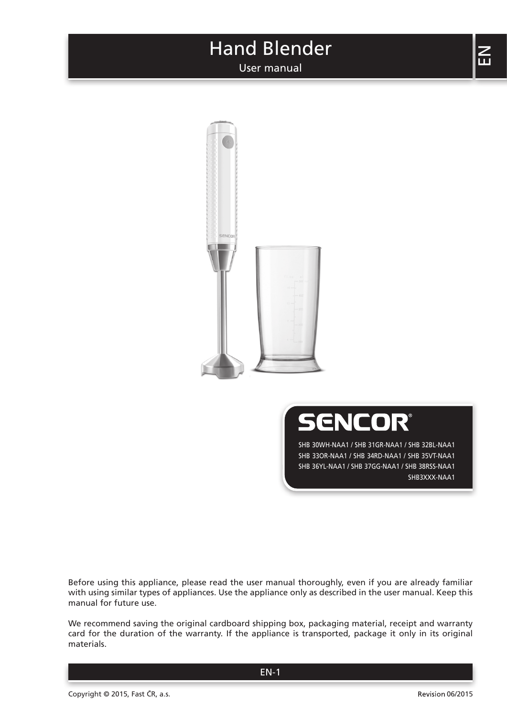User manual





SHB 30WH-NAA1 / SHB 31GR-NAA1 / SHB 32BL-NAA1 SHB 33OR-NAA1 / SHB 34RD-NAA1 / SHB 35VT-NAA1 SHB 36YL-NAA1 / SHB 37GG-NAA1 / SHB 38RSS-NAA1 SHB3XXX-NAA1

Before using this appliance, please read the user manual thoroughly, even if you are already familiar with using similar types of appliances. Use the appliance only as described in the user manual. Keep this manual for future use.

We recommend saving the original cardboard shipping box, packaging material, receipt and warranty card for the duration of the warranty. If the appliance is transported, package it only in its original materials.

 $\Xi$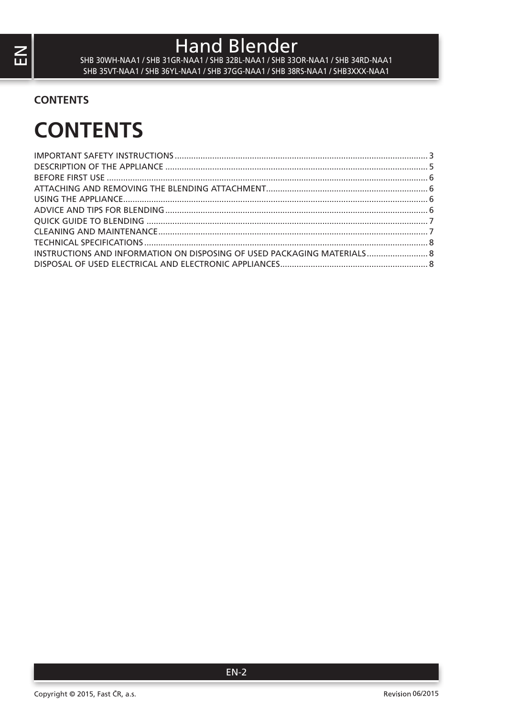SHB 30WH-NAA1 / SHB 31GR-NAA1 / SHB 32BL-NAA1 / SHB 33OR-NAA1 / SHB 34RD-NAA1 SHB 35VT-NAA1 / SHB 36YL-NAA1 / SHB 37GG-NAA1 / SHB 38RS-NAA1 / SHB3XXX-NAA1

## **CONTENTS**

# **CONTENTS**

| INSTRUCTIONS AND INFORMATION ON DISPOSING OF USED PACKAGING MATERIALS 8 |  |
|-------------------------------------------------------------------------|--|
|                                                                         |  |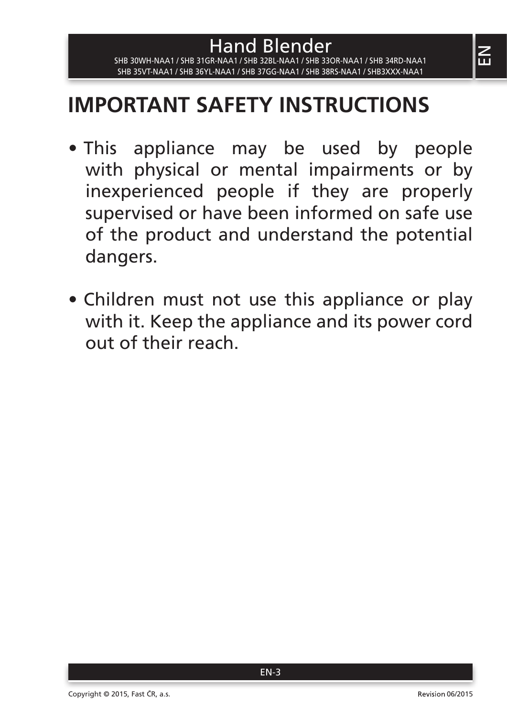# **IMPORTANT SAFETY INSTRUCTIONS**

Hand Blender SHB 30WH-NAA1 / SHB 31GR-NAA1 / SHB 32BL-NAA1 / SHB 33OR-NAA1 / SHB 34RD-NAA1 SHB 35VT-NAA1 / SHB 36YL-NAA1 / SHB 37GG-NAA1 / SHB 38RS-NAA1 / SHB3XXX-NAA1

- This appliance may be used by people with physical or mental impairments or by inexperienced people if they are properly supervised or have been informed on safe use of the product and understand the potential dangers.
- Children must not use this appliance or play with it. Keep the appliance and its power cord out of their reach.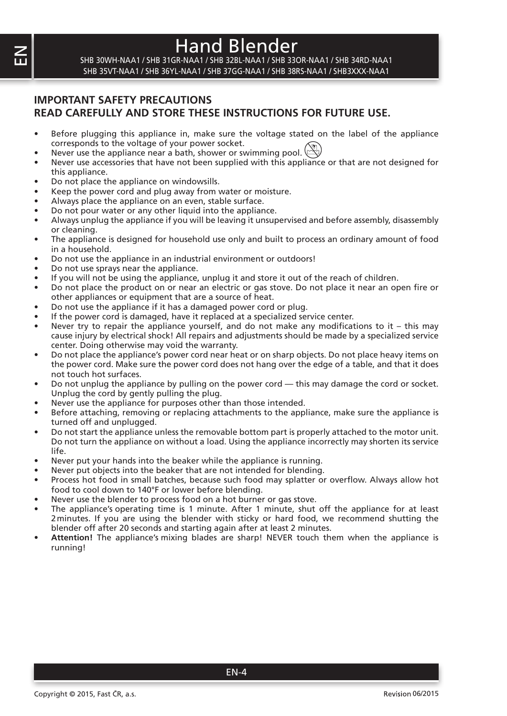SHB 30WH-NAA1 / SHB 31GR-NAA1 / SHB 32BL-NAA1 / SHB 33OR-NAA1 / SHB 34RD-NAA1 SHB 35VT-NAA1 / SHB 36YL-NAA1 / SHB 37GG-NAA1 / SHB 38RS-NAA1 / SHB3XXX-NAA1

### **IMPORTANT SAFETY PRECAUTIONS READ CAREFULLY AND STORE THESE INSTRUCTIONS FOR FUTURE USE.**

- Before plugging this appliance in, make sure the voltage stated on the label of the appliance corresponds to the voltage of your power socket.
- Never use the appliance near a bath, shower or swimming pool.  $(\mathbb{R})$
- Never use accessories that have not been supplied with this appliance or that are not designed for this appliance.
- Do not place the appliance on windowsills.
- Keep the power cord and plug away from water or moisture.
- Always place the appliance on an even, stable surface.
- Do not pour water or any other liquid into the appliance.
- Always unplug the appliance if you will be leaving it unsupervised and before assembly, disassembly or cleaning.
- The appliance is designed for household use only and built to process an ordinary amount of food in a household.
- Do not use the appliance in an industrial environment or outdoors!
- Do not use sprays near the appliance.
- If you will not be using the appliance, unplug it and store it out of the reach of children.
- Do not place the product on or near an electric or gas stove. Do not place it near an open fire or other appliances or equipment that are a source of heat.
- Do not use the appliance if it has a damaged power cord or plug.
- If the power cord is damaged, have it replaced at a specialized service center.
- Never try to repair the appliance yourself, and do not make any modifications to it this may cause injury by electrical shock! All repairs and adjustments should be made by a specialized service center. Doing otherwise may void the warranty.
- Do not place the appliance's power cord near heat or on sharp objects. Do not place heavy items on the power cord. Make sure the power cord does not hang over the edge of a table, and that it does not touch hot surfaces.
- Do not unplug the appliance by pulling on the power cord this may damage the cord or socket. Unplug the cord by gently pulling the plug.
- Never use the appliance for purposes other than those intended.
- Before attaching, removing or replacing attachments to the appliance, make sure the appliance is turned off and unplugged.
- Do not start the appliance unless the removable bottom part is properly attached to the motor unit. Do not turn the appliance on without a load. Using the appliance incorrectly may shorten its service life.
- Never put your hands into the beaker while the appliance is running.
- Never put objects into the beaker that are not intended for blending.
- Process hot food in small batches, because such food may splatter or overflow. Always allow hot food to cool down to 140°F or lower before blending.
- Never use the blender to process food on a hot burner or gas stove.
- The appliance's operating time is 1 minute. After 1 minute, shut off the appliance for at least 2minutes. If you are using the blender with sticky or hard food, we recommend shutting the blender off after 20 seconds and starting again after at least 2 minutes.
- **Attention!** The appliance's mixing blades are sharp! NEVER touch them when the appliance is running!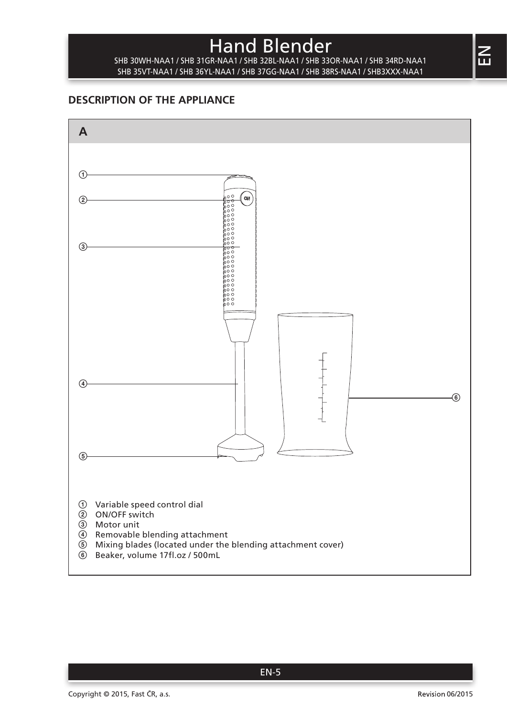SHB 30WH-NAA1 / SHB 31GR-NAA1 / SHB 32BL-NAA1 / SHB 33OR-NAA1 / SHB 34RD-NAA1 SHB 35VT-NAA1 / SHB 36YL-NAA1 / SHB 37GG-NAA1 / SHB 38RS-NAA1 / SHB3XXX-NAA1

## **DESCRIPTION OF THE APPLIANCE**

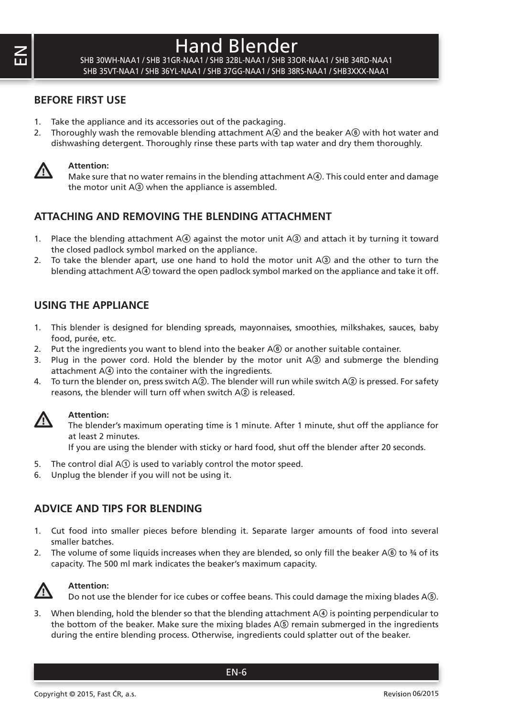SHB 30WH-NAA1 / SHB 31GR-NAA1 / SHB 32BL-NAA1 / SHB 33OR-NAA1 / SHB 34RD-NAA1 SHB 35VT-NAA1 / SHB 36YL-NAA1 / SHB 37GG-NAA1 / SHB 38RS-NAA1 / SHB3XXX-NAA1

#### **BEFORE FIRST USE**

- 1. Take the appliance and its accessories out of the packaging.
- 2. Thoroughly wash the removable blending attachment  $A(4)$  and the beaker  $A(6)$  with hot water and dishwashing detergent. Thoroughly rinse these parts with tap water and dry them thoroughly.



#### **Attention:**

Make sure that no water remains in the blending attachment  $A(4)$ . This could enter and damage the motor unit  $A(3)$  when the appliance is assembled.

#### **ATTACHING AND REMOVING THE BLENDING ATTACHMENT**

- 1. Place the blending attachment A4 against the motor unit A<sub>3</sub> and attach it by turning it toward the closed padlock symbol marked on the appliance.
- 2. To take the blender apart, use one hand to hold the motor unit  $A(3)$  and the other to turn the blending attachment  $A(4)$  toward the open padlock symbol marked on the appliance and take it off.

#### **USING THE APPLIANCE**

- 1. This blender is designed for blending spreads, mayonnaises, smoothies, milkshakes, sauces, baby food, purée, etc.
- 2. Put the ingredients you want to blend into the beaker  $A(\mathbf{6})$  or another suitable container.
- 3. Plug in the power cord. Hold the blender by the motor unit A3 and submerge the blending attachment  $A\circledA$  into the container with the ingredients.
- 4. To turn the blender on, press switch A2. The blender will run while switch A2 is pressed. For safety reasons, the blender will turn off when switch A2 is released.



#### **Attention:**

The blender's maximum operating time is 1 minute. After 1 minute, shut off the appliance for at least 2 minutes.

If you are using the blender with sticky or hard food, shut off the blender after 20 seconds.

- 5. The control dial  $A(1)$  is used to variably control the motor speed.
- 6. Unplug the blender if you will not be using it.

#### **ADVICE AND TIPS FOR BLENDING**

- 1. Cut food into smaller pieces before blending it. Separate larger amounts of food into several smaller batches.
- 2. The volume of some liquids increases when they are blended, so only fill the beaker A $\circledast$  to  $\frac{3}{4}$  of its capacity. The 500 ml mark indicates the beaker's maximum capacity.



**Attention:**

Do not use the blender for ice cubes or coffee beans. This could damage the mixing blades A $(6)$ .

3. When blending, hold the blender so that the blending attachment A4 is pointing perpendicular to the bottom of the beaker. Make sure the mixing blades  $A\circledS$  remain submerged in the ingredients during the entire blending process. Otherwise, ingredients could splatter out of the beaker.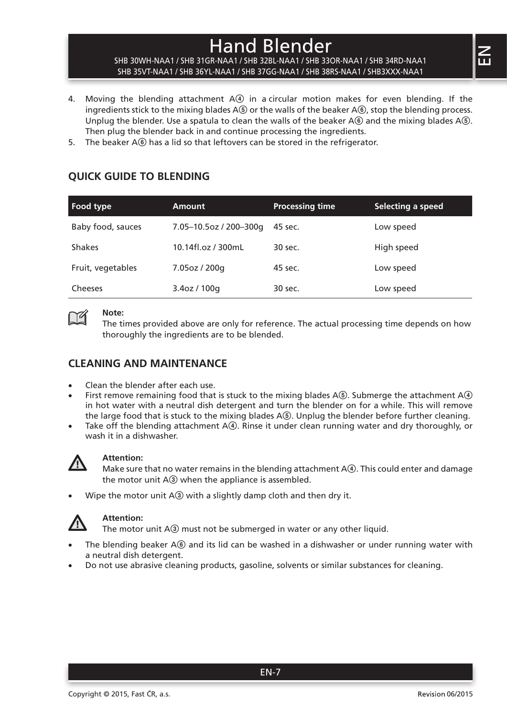#### SHB 30WH-NAA1 / SHB 31GR-NAA1 / SHB 32BL-NAA1 / SHB 33OR-NAA1 / SHB 34RD-NAA1 SHB 35VT-NAA1 / SHB 36YL-NAA1 / SHB 37GG-NAA1 / SHB 38RS-NAA1 / SHB3XXX-NAA1

- 4. Moving the blending attachment A4 in a circular motion makes for even blending. If the ingredients stick to the mixing blades  $A(5)$  or the walls of the beaker  $A(6)$ , stop the blending process. Unplug the blender. Use a spatula to clean the walls of the beaker A6 and the mixing blades A6. Then plug the blender back in and continue processing the ingredients.
- 5. The beaker A<sub>6</sub> has a lid so that leftovers can be stored in the refrigerator.

## **QUICK GUIDE TO BLENDING**

| Food type         | <b>Amount</b>          | <b>Processing time</b> | Selecting a speed |
|-------------------|------------------------|------------------------|-------------------|
| Baby food, sauces | 7.05-10.5oz / 200-300g | 45 sec.                | Low speed         |
| <b>Shakes</b>     | 10.14fl.oz / 300mL     | 30 sec.                | High speed        |
| Fruit, vegetables | 7.05oz / 200g          | 45 sec.                | Low speed         |
| Cheeses           | 3.4oz / 100g           | 30 sec.                | Low speed         |

# Y

**Note:**

The times provided above are only for reference. The actual processing time depends on how thoroughly the ingredients are to be blended.

### **CLEANING AND MAINTENANCE**

- Clean the blender after each use.
- First remove remaining food that is stuck to the mixing blades  $A(6)$ . Submerge the attachment  $A(4)$ in hot water with a neutral dish detergent and turn the blender on for a while. This will remove the large food that is stuck to the mixing blades A(5). Unplug the blender before further cleaning.
- Take off the blending attachment  $A(4)$ . Rinse it under clean running water and dry thoroughly, or wash it in a dishwasher.



#### **Attention:**

Make sure that no water remains in the blending attachment  $A(4)$ . This could enter and damage the motor unit  $A(3)$  when the appliance is assembled.

Wipe the motor unit  $A(3)$  with a slightly damp cloth and then dry it.



#### **Attention:**

The motor unit A<sup>3</sup> must not be submerged in water or any other liquid.

- The blending beaker A® and its lid can be washed in a dishwasher or under running water with a neutral dish detergent.
- Do not use abrasive cleaning products, gasoline, solvents or similar substances for cleaning.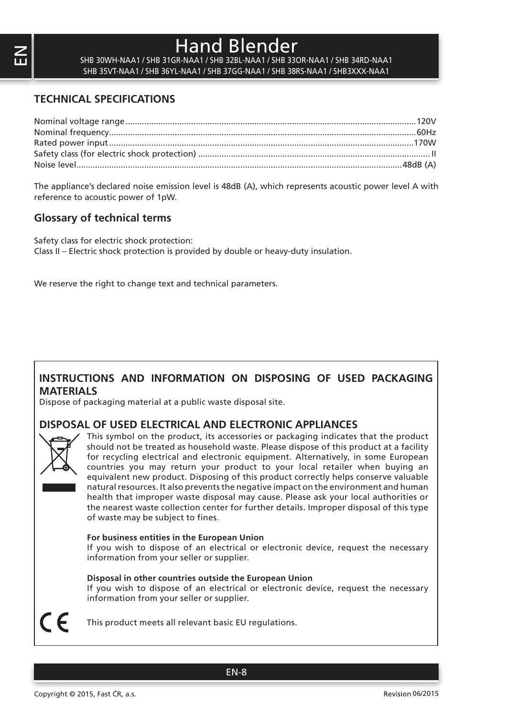SHB 30WH-NAA1 / SHB 31GR-NAA1 / SHB 32BL-NAA1 / SHB 33OR-NAA1 / SHB 34RD-NAA1 SHB 35VT-NAA1 / SHB 36YL-NAA1 / SHB 37GG-NAA1 / SHB 38RS-NAA1 / SHB3XXX-NAA1

### **TECHNICAL SPECIFICATIONS**

The appliance's declared noise emission level is 48dB (A), which represents acoustic power level A with reference to acoustic power of 1pW.

### **Glossary of technical terms**

Safety class for electric shock protection: Class II – Electric shock protection is provided by double or heavy-duty insulation.

We reserve the right to change text and technical parameters.

#### **INSTRUCTIONS AND INFORMATION ON DISPOSING OF USED PACKAGING MATERIALS**

Dispose of packaging material at a public waste disposal site.

#### **DISPOSAL OF USED ELECTRICAL AND ELECTRONIC APPLIANCES**



This symbol on the product, its accessories or packaging indicates that the product should not be treated as household waste. Please dispose of this product at a facility for recycling electrical and electronic equipment. Alternatively, in some European countries you may return your product to your local retailer when buying an equivalent new product. Disposing of this product correctly helps conserve valuable natural resources. It also prevents the negative impact on the environment and human health that improper waste disposal may cause. Please ask your local authorities or the nearest waste collection center for further details. Improper disposal of this type of waste may be subject to fines.

#### **For business entities in the European Union**

If you wish to dispose of an electrical or electronic device, request the necessary information from your seller or supplier.

#### **Disposal in other countries outside the European Union**

If you wish to dispose of an electrical or electronic device, request the necessary information from your seller or supplier.

This product meets all relevant basic EU regulations.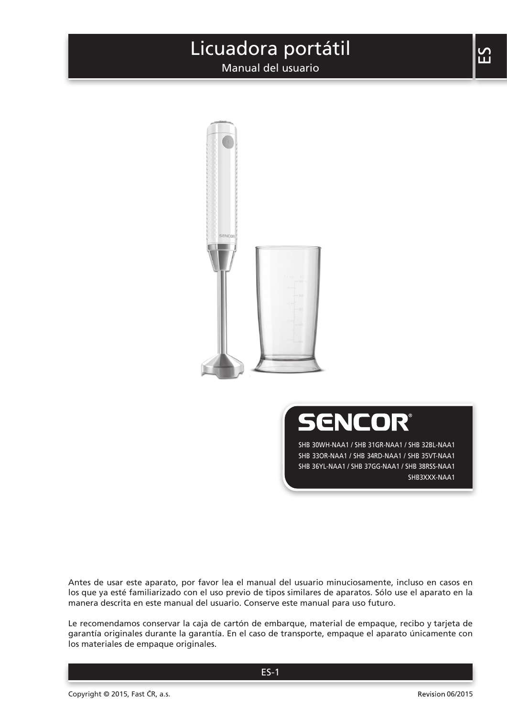# Licuadora portátil

Manual del usuario





SHB 30WH-NAA1 / SHB 31GR-NAA1 / SHB 32BL-NAA1 SHB 33OR-NAA1 / SHB 34RD-NAA1 / SHB 35VT-NAA1 SHB 36YL-NAA1 / SHB 37GG-NAA1 / SHB 38RSS-NAA1 SHB3XXX-NAA1

Antes de usar este aparato, por favor lea el manual del usuario minuciosamente, incluso en casos en los que ya esté familiarizado con el uso previo de tipos similares de aparatos. Sólo use el aparato en la manera descrita en este manual del usuario. Conserve este manual para uso futuro.

Le recomendamos conservar la caja de cartón de embarque, material de empaque, recibo y tarjeta de garantía originales durante la garantía. En el caso de transporte, empaque el aparato únicamente con los materiales de empaque originales.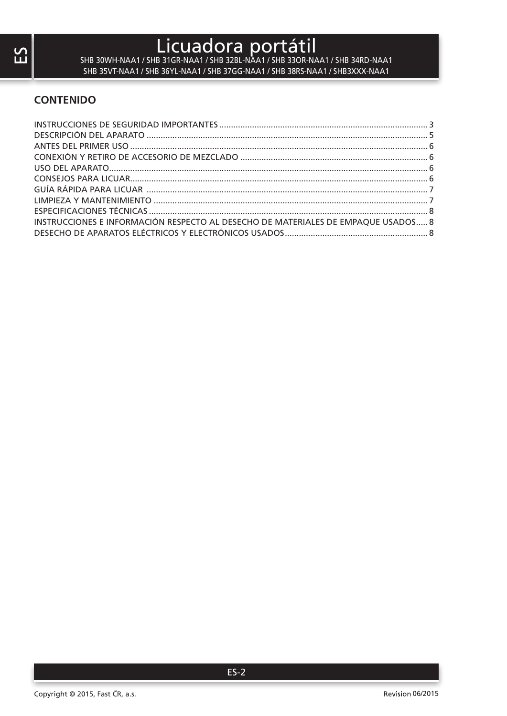# Licuadora portátil SHB 30WH-NAA1 / SHB 31GR-NAA1 / SHB 32BL-NAA1 / SHB 33OR-NAA1 / SHB 34RD-NAA1

SHB 35VT-NAA1 / SHB 36YL-NAA1 / SHB 37GG-NAA1 / SHB 38RS-NAA1 / SHB3XXX-NAA1

### **CONTENIDO**

| INSTRUCCIONES E INFORMACIÓN RESPECTO AL DESECHO DE MATERIALES DE EMPAOUE USADOS 8 |  |
|-----------------------------------------------------------------------------------|--|
|                                                                                   |  |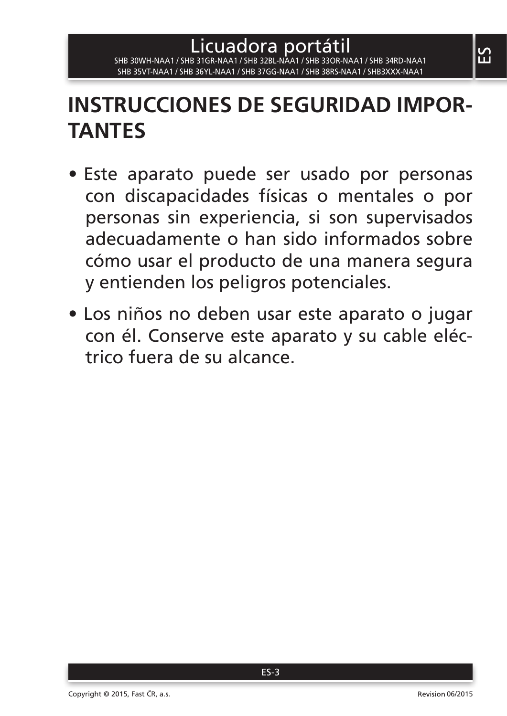# **INSTRUCCIONES DE SEGURIDAD IMPOR-TANTES**

- Este aparato puede ser usado por personas con discapacidades físicas o mentales o por personas sin experiencia, si son supervisados adecuadamente o han sido informados sobre cómo usar el producto de una manera segura y entienden los peligros potenciales.
- Los niños no deben usar este aparato o jugar con él. Conserve este aparato y su cable eléctrico fuera de su alcance.

 $\mathbf{S}$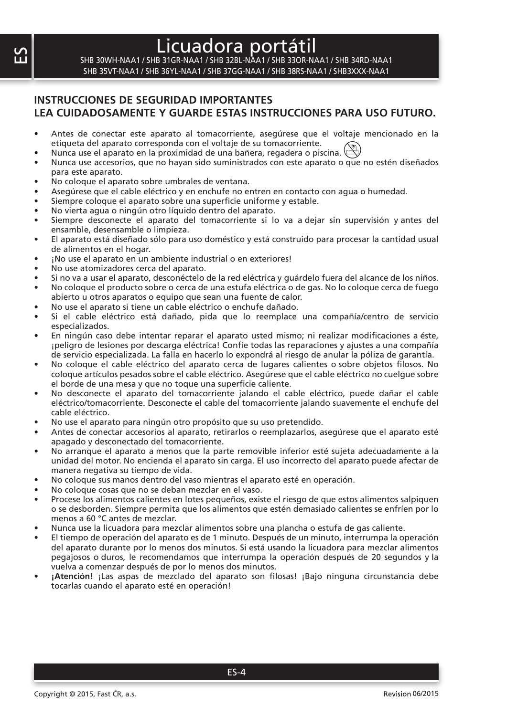# Licuadora port

SHB 30WH-NAA1 / SHB 31GR-NAA1 / SHB 32BL-NAA1 / SHB 33OR-NAA1 / SHB 34RD-NAA1 SHB 35VT-NAA1 / SHB 36YL-NAA1 / SHB 37GG-NAA1 / SHB 38RS-NAA1 / SHB3XXX-NAA1

### **INSTRUCCIONES DE SEGURIDAD IMPORTANTES LEA CUIDADOSAMENTE Y GUARDE ESTAS INSTRUCCIONES PARA USO FUTURO.**

- Antes de conectar este aparato al tomacorriente, asegúrese que el voltaje mencionado en la etiqueta del aparato corresponda con el voltaje de su tomacorriente.
- Nunca use el aparato en la proximidad de una bañera, regadera o piscina.
- Nunca use accesorios, que no hayan sido suministrados con este aparato o que no estén diseñados para este aparato.
- No coloque el aparato sobre umbrales de ventana.
- Asegúrese que el cable eléctrico y en enchufe no entren en contacto con agua o humedad.
- Siempre coloque el aparato sobre una superficie uniforme y estable.
- No vierta agua o ningún otro líquido dentro del aparato.
- Siempre desconecte el aparato del tomacorriente si lo va a dejar sin supervisión y antes del ensamble, desensamble o limpieza.
- El aparato está diseñado sólo para uso doméstico y está construido para procesar la cantidad usual de alimentos en el hogar.
- ¡No use el aparato en un ambiente industrial o en exteriores!
- No use atomizadores cerca del aparato.
- Si no va a usar el aparato, desconéctelo de la red eléctrica y guárdelo fuera del alcance de los niños. • No coloque el producto sobre o cerca de una estufa eléctrica o de gas. No lo coloque cerca de fuego
- abierto u otros aparatos o equipo que sean una fuente de calor.
- No use el aparato si tiene un cable eléctrico o enchufe dañado.
- Si el cable eléctrico está dañado, pida que lo reemplace una compañía/centro de servicio especializados.
- En ningún caso debe intentar reparar el aparato usted mismo; ni realizar modificaciones a éste, ¡peligro de lesiones por descarga eléctrica! Confíe todas las reparaciones y ajustes a una compañía de servicio especializada. La falla en hacerlo lo expondrá al riesgo de anular la póliza de garantía.
- No coloque el cable eléctrico del aparato cerca de lugares calientes o sobre objetos filosos. No coloque artículos pesados sobre el cable eléctrico. Asegúrese que el cable eléctrico no cuelgue sobre el borde de una mesa y que no toque una superficie caliente.
- No desconecte el aparato del tomacorriente jalando el cable eléctrico, puede dañar el cable eléctrico/tomacorriente. Desconecte el cable del tomacorriente jalando suavemente el enchufe del cable eléctrico.
- No use el aparato para ningún otro propósito que su uso pretendido.
- Antes de conectar accesorios al aparato, retirarlos o reemplazarlos, asegúrese que el aparato esté apagado y desconectado del tomacorriente.
- No arranque el aparato a menos que la parte removible inferior esté sujeta adecuadamente a la unidad del motor. No encienda el aparato sin carga. El uso incorrecto del aparato puede afectar de manera negativa su tiempo de vida.
- No coloque sus manos dentro del vaso mientras el aparato esté en operación.
- No coloque cosas que no se deban mezclar en el vaso.
- Procese los alimentos calientes en lotes pequeños, existe el riesgo de que estos alimentos salpiquen o se desborden. Siempre permita que los alimentos que estén demasiado calientes se enfríen por lo menos a 60 °C antes de mezclar.
- Nunca use la licuadora para mezclar alimentos sobre una plancha o estufa de gas caliente.
- El tiempo de operación del aparato es de 1 minuto. Después de un minuto, interrumpa la operación del aparato durante por lo menos dos minutos. Si está usando la licuadora para mezclar alimentos pegajosos o duros, le recomendamos que interrumpa la operación después de 20 segundos y la vuelva a comenzar después de por lo menos dos minutos.
- **¡Atención!** ¡Las aspas de mezclado del aparato son filosas! ¡Bajo ninguna circunstancia debe tocarlas cuando el aparato esté en operación!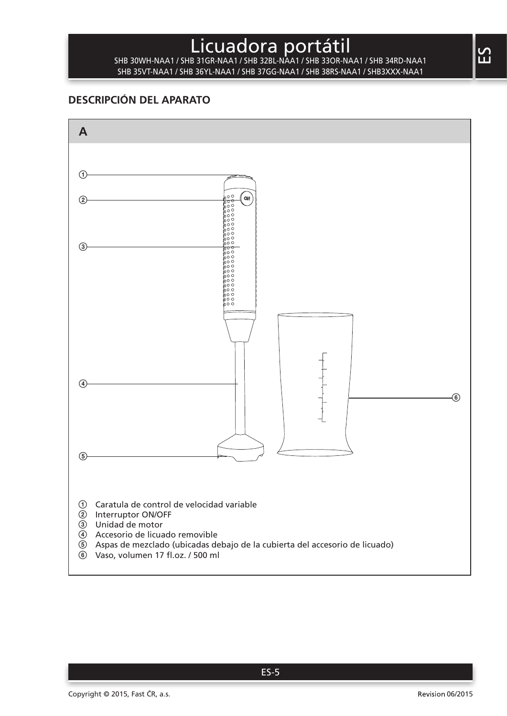# Licuadora portátil SHB 30WH-NAA1 / SHB 31GR-NAA1 / SHB 32BL-NAA1 / SHB 33OR-NAA1 / SHB 34RD-NAA1

SHB 35VT-NAA1 / SHB 36YL-NAA1 / SHB 37GG-NAA1 / SHB 38RS-NAA1 / SHB3XXX-NAA1

## **DESCRIPCIÓN DEL APARATO**

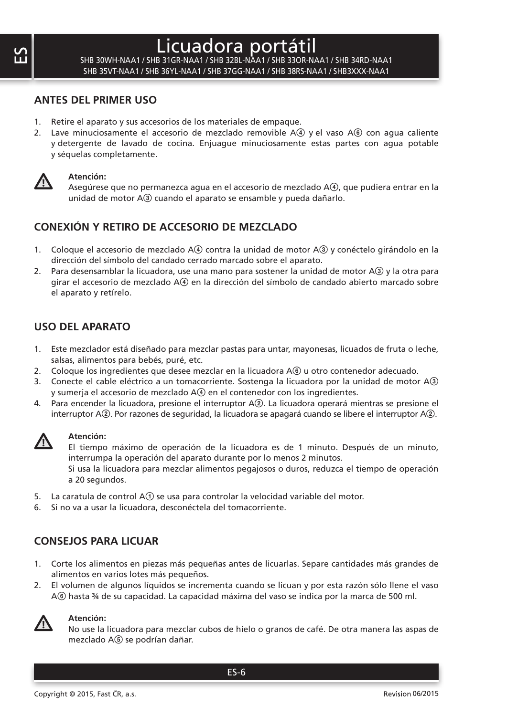# Licuadora port

SHB 30WH-NAA1 / SHB 31GR-NAA1 / SHB 32BL-NAA1 / SHB 33OR-NAA1 / SHB 34RD-NAA1 SHB 35VT-NAA1 / SHB 36YL-NAA1 / SHB 37GG-NAA1 / SHB 38RS-NAA1 / SHB3XXX-NAA1

#### **ANTES DEL PRIMER USO**

- 1. Retire el aparato y sus accesorios de los materiales de empaque.
- 2. Lave minuciosamente el accesorio de mezclado removible  $A(4)$  y el vaso  $A(6)$  con agua caliente y detergente de lavado de cocina. Enjuague minuciosamente estas partes con agua potable y séquelas completamente.



#### **Atención:**

Asegúrese que no permanezca agua en el accesorio de mezclado A $(4)$ , que pudiera entrar en la unidad de motor A3 cuando el aparato se ensamble y pueda dañarlo.

### **CONEXIÓN Y RETIRO DE ACCESORIO DE MEZCLADO**

- 1. Coloque el accesorio de mezclado A4 contra la unidad de motor A<sub>3</sub> y conéctelo girándolo en la dirección del símbolo del candado cerrado marcado sobre el aparato.
- 2. Para desensamblar la licuadora, use una mano para sostener la unidad de motor A3 y la otra para girar el accesorio de mezclado A $\widehat{A}$  en la dirección del símbolo de candado abierto marcado sobre el aparato y retírelo.

#### **USO DEL APARATO**

- 1. Este mezclador está diseñado para mezclar pastas para untar, mayonesas, licuados de fruta o leche, salsas, alimentos para bebés, puré, etc.
- 2. Coloque los ingredientes que desee mezclar en la licuadora A® u otro contenedor adecuado.
- 3. Conecte el cable eléctrico a un tomacorriente. Sostenga la licuadora por la unidad de motor A3 y sumerja el accesorio de mezclado A4 en el contenedor con los ingredientes.
- 4. Para encender la licuadora, presione el interruptor A2. La licuadora operará mientras se presione el interruptor A2. Por razones de seguridad, la licuadora se apagará cuando se libere el interruptor A2.



#### **Atención:**

El tiempo máximo de operación de la licuadora es de 1 minuto. Después de un minuto, interrumpa la operación del aparato durante por lo menos 2 minutos.

Si usa la licuadora para mezclar alimentos pegajosos o duros, reduzca el tiempo de operación a 20 segundos.

- 5. La caratula de control  $A(1)$  se usa para controlar la velocidad variable del motor.
- 6. Si no va a usar la licuadora, desconéctela del tomacorriente.

#### **CONSEJOS PARA LICUAR**

- 1. Corte los alimentos en piezas más pequeñas antes de licuarlas. Separe cantidades más grandes de alimentos en varios lotes más pequeños.
- 2. El volumen de algunos líquidos se incrementa cuando se licuan y por esta razón sólo llene el vaso A6 hasta ¾ de su capacidad. La capacidad máxima del vaso se indica por la marca de 500 ml.



#### **Atención:**

No use la licuadora para mezclar cubos de hielo o granos de café. De otra manera las aspas de mezclado A(5) se podrían dañar.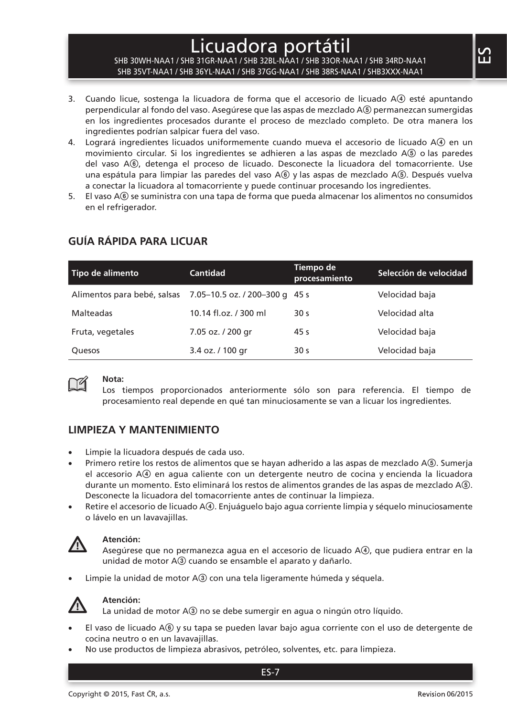# Licuadora portátil

#### SHB 30WH-NAA1 / SHB 31GR-NAA1 / SHB 32BL-NAA1 / SHB 33OR-NAA1 / SHB 34RD-NAA1 SHB 35VT-NAA1 / SHB 36YL-NAA1 / SHB 37GG-NAA1 / SHB 38RS-NAA1 / SHB3XXX-NAA1

- 3. Cuando licue, sostenga la licuadora de forma que el accesorio de licuado A4 esté apuntando perpendicular al fondo del vaso. Asegúrese que las aspas de mezclado A5 permanezcan sumergidas en los ingredientes procesados durante el proceso de mezclado completo. De otra manera los ingredientes podrían salpicar fuera del vaso.
- 4. Logrará ingredientes licuados uniformemente cuando mueva el accesorio de licuado A4) en un movimiento circular. Si los ingredientes se adhieren a las aspas de mezclado A5 o las paredes del vaso A6, detenga el proceso de licuado. Desconecte la licuadora del tomacorriente. Use una espátula para limpiar las paredes del vaso A(6) y las aspas de mezclado A(5). Después vuelva a conectar la licuadora al tomacorriente y puede continuar procesando los ingredientes.
- 5. El vaso A6 se suministra con una tapa de forma que pueda almacenar los alimentos no consumidos en el refrigerador.

| Tipo de alimento                                           | <b>Cantidad</b>       | Tiempo de<br>procesamiento | Selección de velocidad |
|------------------------------------------------------------|-----------------------|----------------------------|------------------------|
| Alimentos para bebé, salsas 7.05-10.5 oz. / 200-300 q 45 s |                       |                            | Velocidad baja         |
| Malteadas                                                  | 10.14 fl.oz. / 300 ml | 30 <sub>s</sub>            | Velocidad alta         |
| Fruta, vegetales                                           | 7.05 oz. / 200 gr     | 45 s                       | Velocidad baja         |
| <b>Ouesos</b>                                              | 3.4 oz. / 100 gr      | 30 <sub>s</sub>            | Velocidad baja         |

## **GUÍA RÁPIDA PARA LICUAR**



#### **Nota:**

Los tiempos proporcionados anteriormente sólo son para referencia. El tiempo de procesamiento real depende en qué tan minuciosamente se van a licuar los ingredientes.

#### **LIMPIEZA Y MANTENIMIENTO**

- Limpie la licuadora después de cada uso.
- Primero retire los restos de alimentos que se hayan adherido a las aspas de mezclado A(5). Sumerja el accesorio A4 en agua caliente con un detergente neutro de cocina y encienda la licuadora durante un momento. Esto eliminará los restos de alimentos grandes de las aspas de mezclado A5. Desconecte la licuadora del tomacorriente antes de continuar la limpieza.
- Retire el accesorio de licuado  $A(4)$ . Enjuáguelo bajo agua corriente limpia y séquelo minuciosamente o lávelo en un lavavajillas.



#### **Atención:**

Asegúrese que no permanezca agua en el accesorio de licuado A4, que pudiera entrar en la unidad de motor A3 cuando se ensamble el aparato y dañarlo.

Limpie la unidad de motor A3 con una tela ligeramente húmeda y séguela.



#### **Atención:**

La unidad de motor A3 no se debe sumergir en agua o ningún otro líquido.

- El vaso de licuado A® y su tapa se pueden lavar bajo agua corriente con el uso de detergente de cocina neutro o en un lavavajillas.
- No use productos de limpieza abrasivos, petróleo, solventes, etc. para limpieza.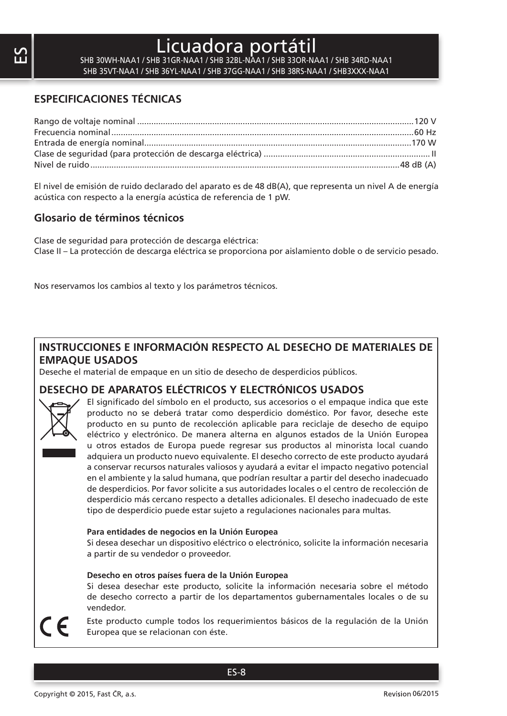# Licuadora port

SHB 30WH-NAA1 / SHB 31GR-NAA1 / SHB 32BL-NAA1 / SHB 33OR-NAA1 / SHB 34RD-NAA1 SHB 35VT-NAA1 / SHB 36YL-NAA1 / SHB 37GG-NAA1 / SHB 38RS-NAA1 / SHB3XXX-NAA1

### **ESPECIFICACIONES TÉCNICAS**

El nivel de emisión de ruido declarado del aparato es de 48 dB(A), que representa un nivel A de energía acústica con respecto a la energía acústica de referencia de 1 pW.

#### **Glosario de términos técnicos**

Clase de seguridad para protección de descarga eléctrica: Clase II – La protección de descarga eléctrica se proporciona por aislamiento doble o de servicio pesado.

Nos reservamos los cambios al texto y los parámetros técnicos.

### **INSTRUCCIONES E INFORMACIÓN RESPECTO AL DESECHO DE MATERIALES DE EMPAQUE USADOS**

Deseche el material de empaque en un sitio de desecho de desperdicios públicos.

#### **DESECHO DE APARATOS ELÉCTRICOS Y ELECTRÓNICOS USADOS**



El significado del símbolo en el producto, sus accesorios o el empaque indica que este producto no se deberá tratar como desperdicio doméstico. Por favor, deseche este producto en su punto de recolección aplicable para reciclaje de desecho de equipo eléctrico y electrónico. De manera alterna en algunos estados de la Unión Europea u otros estados de Europa puede regresar sus productos al minorista local cuando adquiera un producto nuevo equivalente. El desecho correcto de este producto ayudará a conservar recursos naturales valiosos y ayudará a evitar el impacto negativo potencial en el ambiente y la salud humana, que podrían resultar a partir del desecho inadecuado de desperdicios. Por favor solicite a sus autoridades locales o el centro de recolección de desperdicio más cercano respecto a detalles adicionales. El desecho inadecuado de este tipo de desperdicio puede estar sujeto a regulaciones nacionales para multas.

#### **Para entidades de negocios en la Unión Europea**

Si desea desechar un dispositivo eléctrico o electrónico, solicite la información necesaria a partir de su vendedor o proveedor.

#### **Desecho en otros países fuera de la Unión Europea**

Si desea desechar este producto, solicite la información necesaria sobre el método de desecho correcto a partir de los departamentos gubernamentales locales o de su vendedor.

Este producto cumple todos los requerimientos básicos de la regulación de la Unión Europea que se relacionan con éste.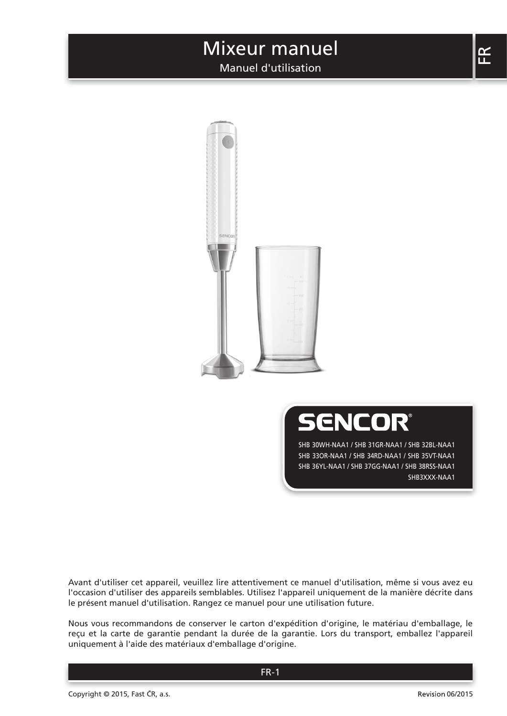## Manuel d'utilisation



**SENCOR®** 

SHB 30WH-NAA1 / SHB 31GR-NAA1 / SHB 32BL-NAA1 SHB 33OR-NAA1 / SHB 34RD-NAA1 / SHB 35VT-NAA1 SHB 36YL-NAA1 / SHB 37GG-NAA1 / SHB 38RSS-NAA1 SHB3XXX-NAA1

Avant d'utiliser cet appareil, veuillez lire attentivement ce manuel d'utilisation, même si vous avez eu l'occasion d'utiliser des appareils semblables. Utilisez l'appareil uniquement de la manière décrite dans le présent manuel d'utilisation. Rangez ce manuel pour une utilisation future.

Nous vous recommandons de conserver le carton d'expédition d'origine, le matériau d'emballage, le reçu et la carte de garantie pendant la durée de la garantie. Lors du transport, emballez l'appareil uniquement à l'aide des matériaux d'emballage d'origine.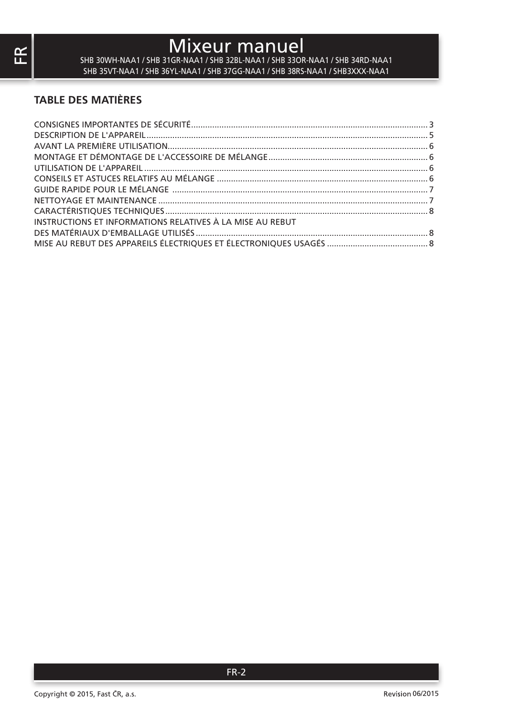SHB 30WH-NAA1 / SHB 31GR-NAA1 / SHB 32BL-NAA1 / SHB 33OR-NAA1 / SHB 34RD-NAA1 SHB 35VT-NAA1 / SHB 36YL-NAA1 / SHB 37GG-NAA1 / SHB 38RS-NAA1 / SHB3XXX-NAA1

## **TABLE DES MATIÈRES**

| INSTRUCTIONS ET INFORMATIONS RELATIVES À LA MISE AU REBUT |  |
|-----------------------------------------------------------|--|
|                                                           |  |
|                                                           |  |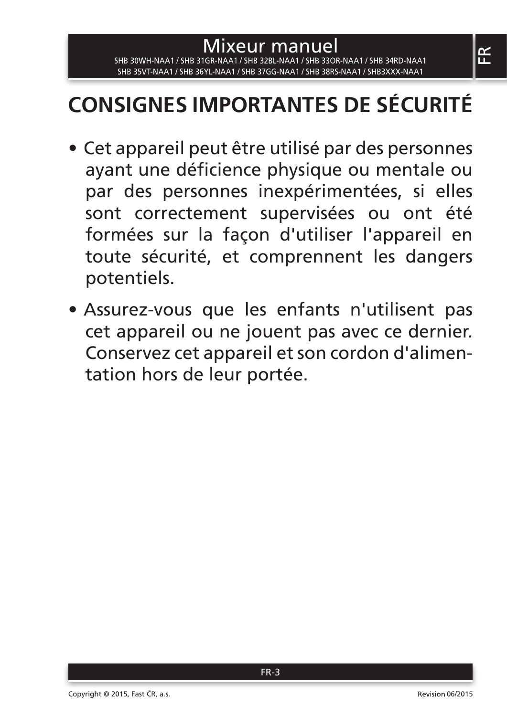## Mixeur manuel SHB 30WH-NAA1 / SHB 31GR-NAA1 / SHB 32BL-NAA1 / SHB 33OR-NAA1 / SHB 34RD-NAA1 SHB 35VT-NAA1 / SHB 36YL-NAA1 / SHB 37GG-NAA1 / SHB 38RS-NAA1 / SHB3XXX-NAA1

# **CONSIGNES IMPORTANTES DE SÉCURITÉ**

- Cet appareil peut être utilisé par des personnes ayant une déficience physique ou mentale ou par des personnes inexpérimentées, si elles sont correctement supervisées ou ont été formées sur la façon d'utiliser l'appareil en toute sécurité, et comprennent les dangers potentiels.
- Assurez-vous que les enfants n'utilisent pas cet appareil ou ne jouent pas avec ce dernier. Conservez cet appareil et son cordon d'alimentation hors de leur portée.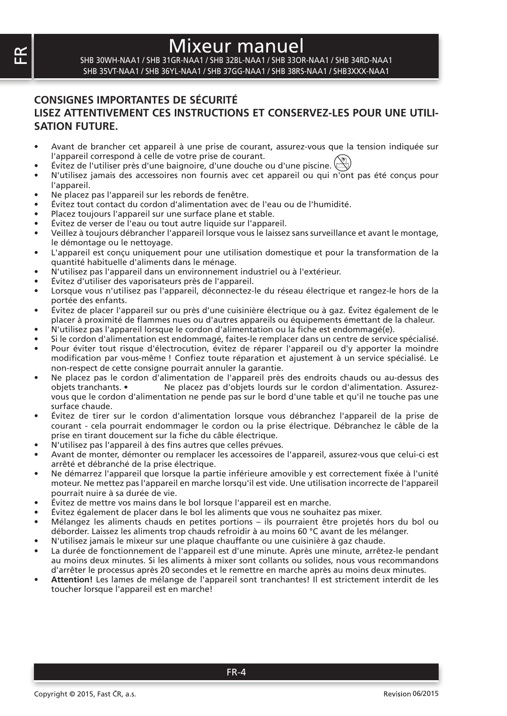SHB 30WH-NAA1 / SHB 31GR-NAA1 / SHB 32BL-NAA1 / SHB 33OR-NAA1 / SHB 34RD-NAA1 SHB 35VT-NAA1 / SHB 36YL-NAA1 / SHB 37GG-NAA1 / SHB 38RS-NAA1 / SHB3XXX-NAA1

#### **CONSIGNES IMPORTANTES DE SÉCURITÉ LISEZ ATTENTIVEMENT CES INSTRUCTIONS ET CONSERVEZ-LES POUR UNE UTILI-SATION FUTURE.**

- Avant de brancher cet appareil à une prise de courant, assurez-vous que la tension indiquée sur l'appareil correspond à celle de votre prise de courant.
- Évitez de l'utiliser près d'une baignoire, d'une douche ou d'une piscine.
- N'utilisez jamais des accessoires non fournis avec cet appareil ou qui n'ont pas été conçus pour l'appareil.
- Ne placez pas l'appareil sur les rebords de fenêtre.
- Évitez tout contact du cordon d'alimentation avec de l'eau ou de l'humidité.
- Placez toujours l'appareil sur une surface plane et stable.
- Évitez de verser de l'eau ou tout autre liquide sur l'appareil.
- Veillez à toujours débrancher l'appareil lorsque vous le laissez sans surveillance et avant le montage, le démontage ou le nettoyage.
- L'appareil est conçu uniquement pour une utilisation domestique et pour la transformation de la quantité habituelle d'aliments dans le ménage.
- N'utilisez pas l'appareil dans un environnement industriel ou à l'extérieur.
- Évitez d'utiliser des vaporisateurs près de l'appareil.
- Lorsque vous n'utilisez pas l'appareil, déconnectez-le du réseau électrique et rangez-le hors de la portée des enfants.
- Évitez de placer l'appareil sur ou près d'une cuisinière électrique ou à gaz. Évitez également de le placer à proximité de flammes nues ou d'autres appareils ou équipements émettant de la chaleur.
- N'utilisez pas l'appareil lorsque le cordon d'alimentation ou la fiche est endommagé(e).
- Si le cordon d'alimentation est endommagé, faites-le remplacer dans un centre de service spécialisé.
- Pour éviter tout risque d'électrocution, évitez de réparer l'appareil ou d'y apporter la moindre modification par vous-même ! Confiez toute réparation et ajustement à un service spécialisé. Le non-respect de cette consigne pourrait annuler la garantie.
- Ne placez pas le cordon d'alimentation de l'appareil près des endroits chauds ou au-dessus des Ne placez pas d'objets lourds sur le cordon d'alimentation. Assurezvous que le cordon d'alimentation ne pende pas sur le bord d'une table et qu'il ne touche pas une surface chaude.
- Évitez de tirer sur le cordon d'alimentation lorsque vous débranchez l'appareil de la prise de courant - cela pourrait endommager le cordon ou la prise électrique. Débranchez le câble de la prise en tirant doucement sur la fiche du câble électrique.
- N'utilisez pas l'appareil à des fins autres que celles prévues.
- Avant de monter, démonter ou remplacer les accessoires de l'appareil, assurez-vous que celui-ci est arrêté et débranché de la prise électrique.
- Ne démarrez l'appareil que lorsque la partie inférieure amovible y est correctement fixée à l'unité moteur. Ne mettez pas l'appareil en marche lorsqu'il est vide. Une utilisation incorrecte de l'appareil pourrait nuire à sa durée de vie.
- Évitez de mettre vos mains dans le bol lorsque l'appareil est en marche.
- Évitez également de placer dans le bol les aliments que vous ne souhaitez pas mixer.
- Mélangez les aliments chauds en petites portions ils pourraient être projetés hors du bol ou déborder. Laissez les aliments trop chauds refroidir à au moins 60 °C avant de les mélanger.
- N'utilisez jamais le mixeur sur une plaque chauffante ou une cuisinière à gaz chaude.
- La durée de fonctionnement de l'appareil est d'une minute. Après une minute, arrêtez-le pendant au moins deux minutes. Si les aliments à mixer sont collants ou solides, nous vous recommandons d'arrêter le processus après 20 secondes et le remettre en marche après au moins deux minutes.
- **Attention!** Les lames de mélange de l'appareil sont tranchantes! Il est strictement interdit de les toucher lorsque l'appareil est en marche!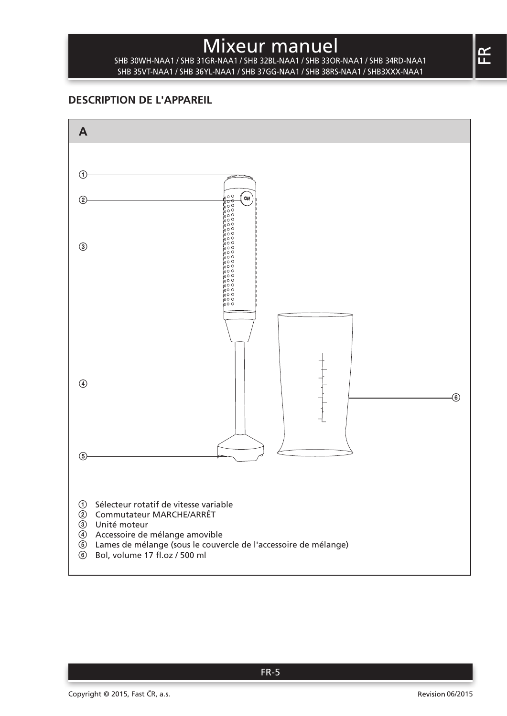SHB 30WH-NAA1 / SHB 31GR-NAA1 / SHB 32BL-NAA1 / SHB 33OR-NAA1 / SHB 34RD-NAA1 SHB 35VT-NAA1 / SHB 36YL-NAA1 / SHB 37GG-NAA1 / SHB 38RS-NAA1 / SHB3XXX-NAA1

### **DESCRIPTION DE L'APPAREIL**

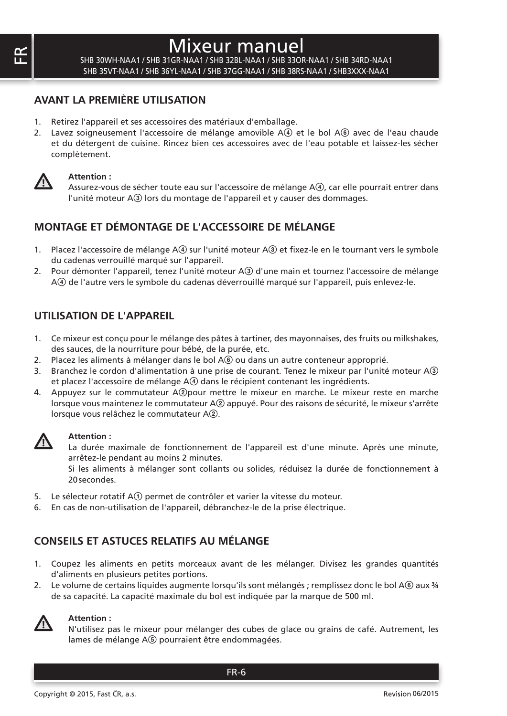SHB 30WH-NAA1 / SHB 31GR-NAA1 / SHB 32BL-NAA1 / SHB 33OR-NAA1 / SHB 34RD-NAA1 SHB 35VT-NAA1 / SHB 36YL-NAA1 / SHB 37GG-NAA1 / SHB 38RS-NAA1 / SHB3XXX-NAA1

#### **AVANT LA PREMIÈRE UTILISATION**

- 1. Retirez l'appareil et ses accessoires des matériaux d'emballage.
- 2. Lavez soigneusement l'accessoire de mélange amovible  $A(4)$  et le bol  $A(6)$  avec de l'eau chaude et du détergent de cuisine. Rincez bien ces accessoires avec de l'eau potable et laissez-les sécher complètement.



#### **Attention :**

Assurez-vous de sécher toute eau sur l'accessoire de mélange A(4), car elle pourrait entrer dans l'unité moteur A3 lors du montage de l'appareil et y causer des dommages.

## **MONTAGE ET DÉMONTAGE DE L'ACCESSOIRE DE MÉLANGE**

- 1. Placez l'accessoire de mélange A4 sur l'unité moteur A3 et fixez-le en le tournant vers le symbole du cadenas verrouillé marqué sur l'appareil.
- 2. Pour démonter l'appareil, tenez l'unité moteur A3 d'une main et tournez l'accessoire de mélange A4 de l'autre vers le symbole du cadenas déverrouillé marqué sur l'appareil, puis enlevez-le.

#### **UTILISATION DE L'APPAREIL**

- 1. Ce mixeur est conçu pour le mélange des pâtes à tartiner, des mayonnaises, des fruits ou milkshakes, des sauces, de la nourriture pour bébé, de la purée, etc.
- 2. Placez les aliments à mélanger dans le bol A $\circledast$  ou dans un autre conteneur approprié.
- 3. Branchez le cordon d'alimentation à une prise de courant. Tenez le mixeur par l'unité moteur A3 et placez l'accessoire de mélange A4 dans le récipient contenant les ingrédients.
- 4. Appuyez sur le commutateur A2pour mettre le mixeur en marche. Le mixeur reste en marche lorsque vous maintenez le commutateur A2 appuyé. Pour des raisons de sécurité, le mixeur s'arrête lorsque vous relâchez le commutateur A2.



#### **Attention :**

La durée maximale de fonctionnement de l'appareil est d'une minute. Après une minute, arrêtez-le pendant au moins 2 minutes.

Si les aliments à mélanger sont collants ou solides, réduisez la durée de fonctionnement à 20secondes.

- 5. Le sélecteur rotatif A1 permet de contrôler et varier la vitesse du moteur.
- 6. En cas de non-utilisation de l'appareil, débranchez-le de la prise électrique.

## **CONSEILS ET ASTUCES RELATIFS AU MÉLANGE**

- 1. Coupez les aliments en petits morceaux avant de les mélanger. Divisez les grandes quantités d'aliments en plusieurs petites portions.
- 2. Le volume de certains liquides augmente lorsqu'ils sont mélangés ; remplissez donc le bol A6 aux ¾ de sa capacité. La capacité maximale du bol est indiquée par la marque de 500 ml.



#### **Attention :**

N'utilisez pas le mixeur pour mélanger des cubes de glace ou grains de café. Autrement, les lames de mélange A<sup>(5)</sup> pourraient être endommagées.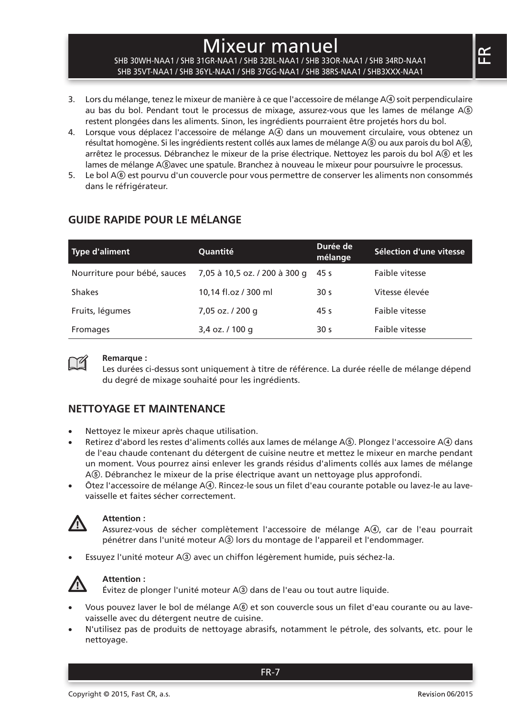#### SHB 30WH-NAA1 / SHB 31GR-NAA1 / SHB 32BL-NAA1 / SHB 33OR-NAA1 / SHB 34RD-NAA1 SHB 35VT-NAA1 / SHB 36YL-NAA1 / SHB 37GG-NAA1 / SHB 38RS-NAA1 / SHB3XXX-NAA1

- 3. Lors du mélange, tenez le mixeur de manière à ce que l'accessoire de mélange A4 soit perpendiculaire au bas du bol. Pendant tout le processus de mixage, assurez-vous que les lames de mélange A5 restent plongées dans les aliments. Sinon, les ingrédients pourraient être projetés hors du bol.
- 4. Lorsque vous déplacez l'accessoire de mélange A4) dans un mouvement circulaire, vous obtenez un résultat homogène. Si les ingrédients restent collés aux lames de mélange A(5) ou aux parois du bol A(6). arrêtez le processus. Débranchez le mixeur de la prise électrique. Nettoyez les parois du bol A6 et les lames de mélange A $$$ avec une spatule. Branchez à nouveau le mixeur pour poursuivre le processus.
- 5. Le bol A6 est pourvu d'un couvercle pour vous permettre de conserver les aliments non consommés dans le réfrigérateur.

| <b>Type d'aliment</b>        | Quantité                      | Durée de<br>mélange | Sélection d'une vitesse |
|------------------------------|-------------------------------|---------------------|-------------------------|
| Nourriture pour bébé, sauces | 7,05 à 10,5 oz. / 200 à 300 g | 45 s                | Faible vitesse          |
| Shakes                       | 10.14 fl.oz / 300 ml          | 30 <sub>s</sub>     | Vitesse élevée          |
| Fruits, légumes              | 7,05 oz. / 200 g              | 45 s                | Faible vitesse          |
| Fromages                     | 3,4 oz. / 100 g               | 30 <sub>s</sub>     | Faible vitesse          |

## **GUIDE RAPIDE POUR LE MÉLANGE**



#### **Remarque :**

Les durées ci-dessus sont uniquement à titre de référence. La durée réelle de mélange dépend du degré de mixage souhaité pour les ingrédients.

## **NETTOYAGE ET MAINTENANCE**

- Nettoyez le mixeur après chaque utilisation.
- Retirez d'abord les restes d'aliments collés aux lames de mélange A®. Plongez l'accessoire A4 dans de l'eau chaude contenant du détergent de cuisine neutre et mettez le mixeur en marche pendant un moment. Vous pourrez ainsi enlever les grands résidus d'aliments collés aux lames de mélange A5. Débranchez le mixeur de la prise électrique avant un nettoyage plus approfondi.
- Ôtez l'accessoire de mélange A4. Rincez-le sous un filet d'eau courante potable ou lavez-le au lavevaisselle et faites sécher correctement.



#### **Attention :**

Assurez-vous de sécher complètement l'accessoire de mélange A4, car de l'eau pourrait pénétrer dans l'unité moteur A3 lors du montage de l'appareil et l'endommager.

Essuyez l'unité moteur A3 avec un chiffon légèrement humide, puis séchez-la.



#### **Attention :**

Évitez de plonger l'unité moteur A3 dans de l'eau ou tout autre liquide.

- Vous pouvez laver le bol de mélange A $6$ ) et son couvercle sous un filet d'eau courante ou au lavevaisselle avec du détergent neutre de cuisine.
- N'utilisez pas de produits de nettoyage abrasifs, notamment le pétrole, des solvants, etc. pour le nettoyage.